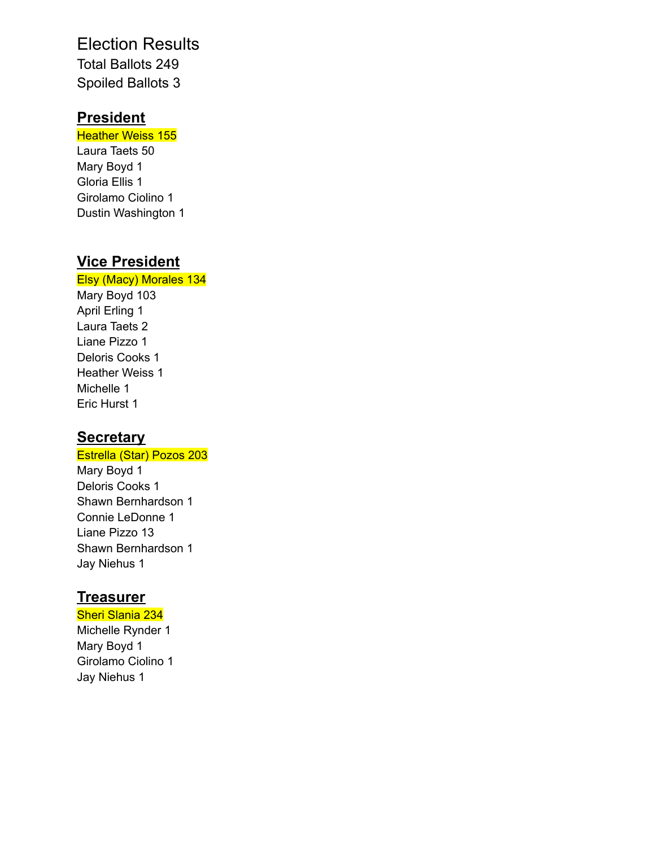## Election Results Total Ballots 249 Spoiled Ballots 3

## **President**

**Heather Weiss 155** Laura Taets 50 Mary Boyd 1 Gloria Ellis 1 Girolamo Ciolino 1 Dustin Washington 1

# **Vice President**

### Elsy (Macy) Morales 134 Mary Boyd 103

April Erling 1 Laura Taets 2 Liane Pizzo 1 Deloris Cooks 1 Heather Weiss 1 Michelle 1 Eric Hurst 1

## **Secretary**

### Estrella (Star) Pozos 203

Mary Boyd 1 Deloris Cooks 1 Shawn Bernhardson 1 Connie LeDonne 1 Liane Pizzo 13 Shawn Bernhardson 1 Jay Niehus 1

## **Treasurer**

Sheri Slania 234 Michelle Rynder 1 Mary Boyd 1 Girolamo Ciolino 1 Jay Niehus 1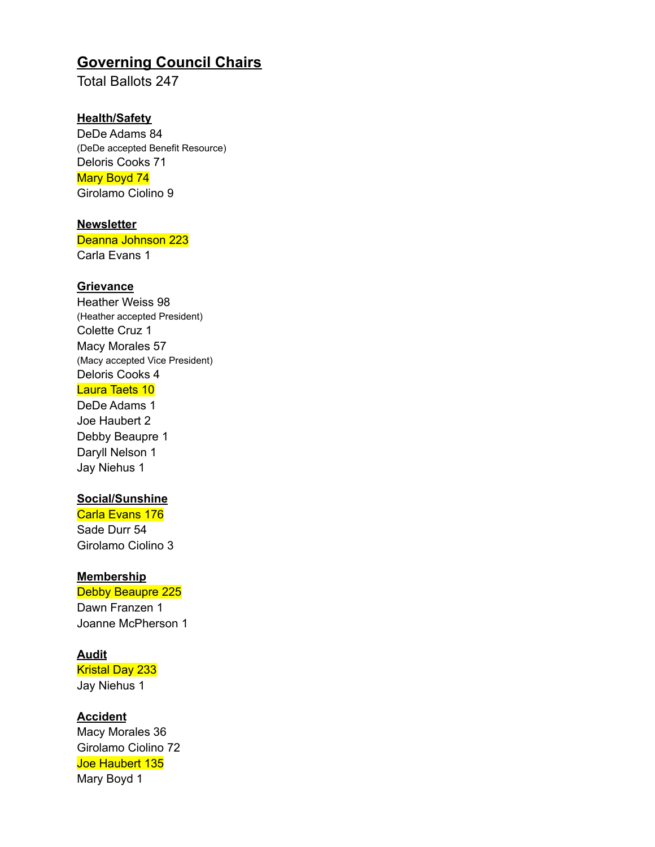## **Governing Council Chairs**

Total Ballots 247

#### **Health/Safety**

DeDe Adams 84 (DeDe accepted Benefit Resource) Deloris Cooks 71 Mary Boyd 74 Girolamo Ciolino 9

#### **Newsletter**

Deanna Johnson 223

Carla Evans 1

#### **Grievance**

Heather Weiss 98 (Heather accepted President) Colette Cruz 1 Macy Morales 57 (Macy accepted Vice President) Deloris Cooks 4

#### Laura Taets 10

DeDe Adams 1 Joe Haubert 2 Debby Beaupre 1 Daryll Nelson 1 Jay Niehus 1

#### **Social/Sunshine**

Carla Evans 176 Sade Durr 54 Girolamo Ciolino 3

#### **Membership**

Debby Beaupre 225

Dawn Franzen 1 Joanne McPherson 1

#### **Audit**

Kristal Day 233 Jay Niehus 1

#### **Accident**

Macy Morales 36 Girolamo Ciolino 72 Joe Haubert 135 Mary Boyd 1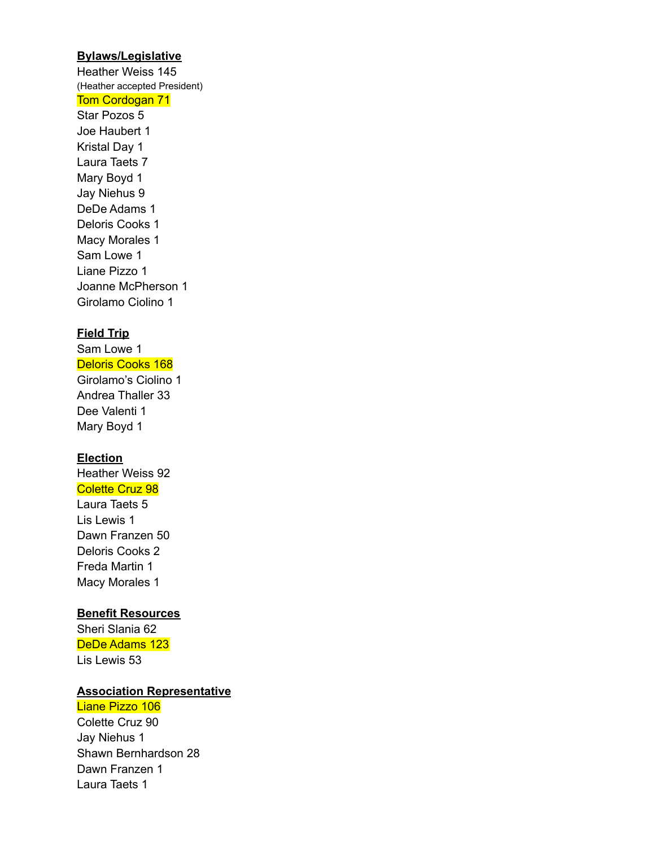#### **Bylaws/Legislative**

Heather Weiss 145 (Heather accepted President) Tom Cordogan 71

Star Pozos 5 Joe Haubert 1 Kristal Day 1 Laura Taets 7 Mary Boyd 1 Jay Niehus 9 DeDe Adams 1 Deloris Cooks 1 Macy Morales 1 Sam Lowe 1 Liane Pizzo 1 Joanne McPherson 1 Girolamo Ciolino 1

#### **Field Trip**

Sam Lowe 1 Deloris Cooks 168 Girolamo's Ciolino 1 Andrea Thaller 33 Dee Valenti 1 Mary Boyd 1

#### **Election**

Heather Weiss 92 Colette Cruz 98 Laura Taets 5 Lis Lewis 1 Dawn Franzen 50 Deloris Cooks 2 Freda Martin 1 Macy Morales 1

#### **Benefit Resources**

Sheri Slania 62 DeDe Adams 123 Lis Lewis 53

#### **Association Representative**

Liane Pizzo 106

Colette Cruz 90 Jay Niehus 1 Shawn Bernhardson 28 Dawn Franzen 1 Laura Taets 1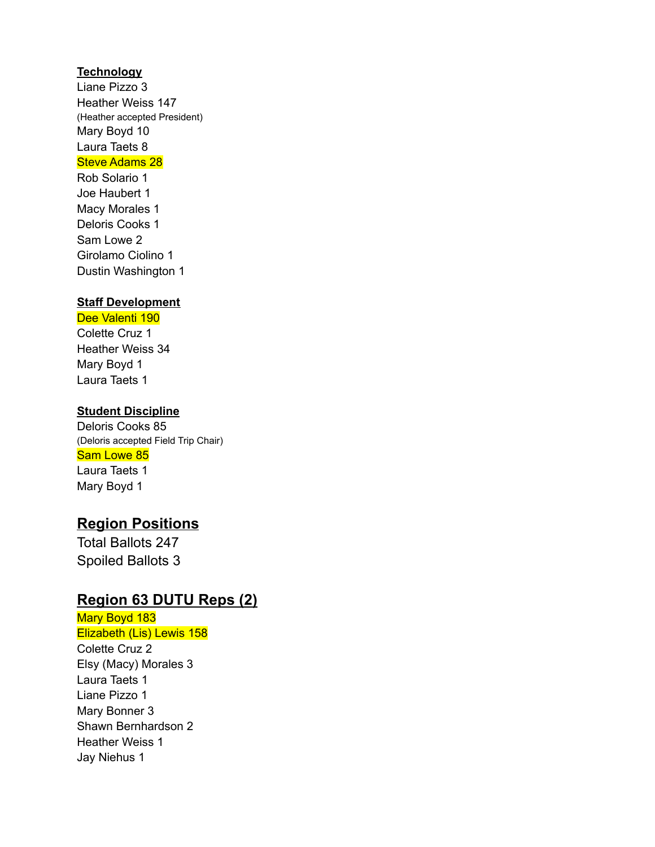#### **Technology**

Liane Pizzo 3 Heather Weiss 147 (Heather accepted President) Mary Boyd 10 Laura Taets 8 Steve Adams 28

Rob Solario 1 Joe Haubert 1 Macy Morales 1 Deloris Cooks 1 Sam Lowe 2 Girolamo Ciolino 1 Dustin Washington 1

#### **Staff Development**

#### Dee Valenti 190

Colette Cruz 1 Heather Weiss 34 Mary Boyd 1 Laura Taets 1

#### **Student Discipline**

Deloris Cooks 85 (Deloris accepted Field Trip Chair) Sam Lowe 85 Laura Taets 1 Mary Boyd 1

## **Region Positions**

Total Ballots 247 Spoiled Ballots 3

## **Region 63 DUTU Reps (2)**

Mary Boyd 183 Elizabeth (Lis) Lewis 158 Colette Cruz 2 Elsy (Macy) Morales 3 Laura Taets 1 Liane Pizzo 1 Mary Bonner 3 Shawn Bernhardson 2 Heather Weiss 1 Jay Niehus 1